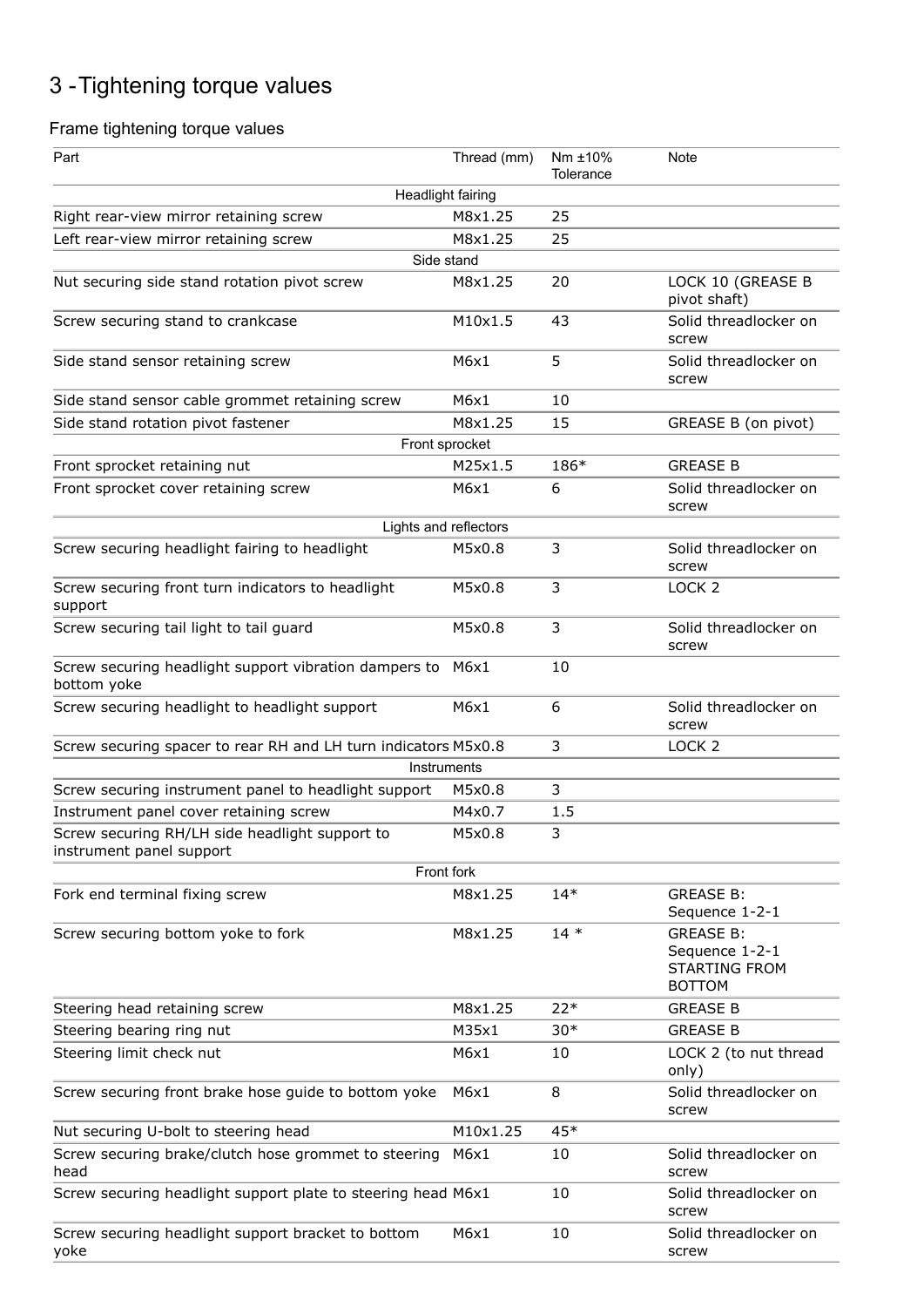## 3 -Tightening torque values

## Frame tightening torque values

| Part                                                                       | Thread (mm) | Nm ±10%<br>Tolerance | Note                                                                        |
|----------------------------------------------------------------------------|-------------|----------------------|-----------------------------------------------------------------------------|
| <b>Headlight fairing</b>                                                   |             |                      |                                                                             |
| Right rear-view mirror retaining screw                                     | M8x1.25     | 25                   |                                                                             |
| Left rear-view mirror retaining screw                                      | M8x1.25     | 25                   |                                                                             |
| Side stand                                                                 |             |                      |                                                                             |
| Nut securing side stand rotation pivot screw                               | M8x1.25     | 20                   | LOCK 10 (GREASE B<br>pivot shaft)                                           |
| Screw securing stand to crankcase                                          | M10x1.5     | 43                   | Solid threadlocker on<br>screw                                              |
| Side stand sensor retaining screw                                          | M6x1        | 5                    | Solid threadlocker on<br>screw                                              |
| Side stand sensor cable grommet retaining screw                            | M6x1        | 10                   |                                                                             |
| Side stand rotation pivot fastener                                         | M8x1.25     | 15                   | GREASE B (on pivot)                                                         |
| Front sprocket                                                             |             |                      |                                                                             |
| Front sprocket retaining nut                                               | M25x1.5     | 186*                 | <b>GREASE B</b>                                                             |
| Front sprocket cover retaining screw                                       | M6x1        | 6                    | Solid threadlocker on<br>screw                                              |
| Lights and reflectors                                                      |             |                      |                                                                             |
| Screw securing headlight fairing to headlight                              | M5x0.8      | 3                    | Solid threadlocker on<br>screw                                              |
| Screw securing front turn indicators to headlight<br>support               | M5x0.8      | 3                    | LOCK <sub>2</sub>                                                           |
| Screw securing tail light to tail guard                                    | M5x0.8      | 3                    | Solid threadlocker on<br>screw                                              |
| Screw securing headlight support vibration dampers to<br>bottom yoke       | M6x1        | 10                   |                                                                             |
| Screw securing headlight to headlight support                              | M6x1        | 6                    | Solid threadlocker on<br>screw                                              |
| Screw securing spacer to rear RH and LH turn indicators M5x0.8             |             | 3                    | LOCK <sub>2</sub>                                                           |
| Instruments                                                                |             |                      |                                                                             |
| Screw securing instrument panel to headlight support                       | M5x0.8      | 3                    |                                                                             |
| Instrument panel cover retaining screw                                     | M4x0.7      | 1.5                  |                                                                             |
| Screw securing RH/LH side headlight support to<br>instrument panel support | M5x0.8      | 3                    |                                                                             |
| Front fork                                                                 |             |                      |                                                                             |
| Fork end terminal fixing screw                                             | M8x1.25     | $14*$                | <b>GREASE B:</b><br>Sequence 1-2-1                                          |
| Screw securing bottom yoke to fork                                         | M8x1.25     | $14*$                | <b>GREASE B:</b><br>Sequence 1-2-1<br><b>STARTING FROM</b><br><b>BOTTOM</b> |
| Steering head retaining screw                                              | M8x1.25     | $22*$                | <b>GREASE B</b>                                                             |
| Steering bearing ring nut                                                  | M35x1       | $30*$                | <b>GREASE B</b>                                                             |
| Steering limit check nut                                                   | M6x1        | 10                   | LOCK 2 (to nut thread<br>only)                                              |
| Screw securing front brake hose guide to bottom yoke                       | M6x1        | 8                    | Solid threadlocker on<br>screw                                              |
| Nut securing U-bolt to steering head                                       | M10x1.25    | $45*$                |                                                                             |
| Screw securing brake/clutch hose grommet to steering<br>head               | M6x1        | 10                   | Solid threadlocker on<br>screw                                              |
| Screw securing headlight support plate to steering head M6x1               |             | 10                   | Solid threadlocker on<br>screw                                              |
| Screw securing headlight support bracket to bottom<br>yoke                 | M6x1        | 10                   | Solid threadlocker on<br>screw                                              |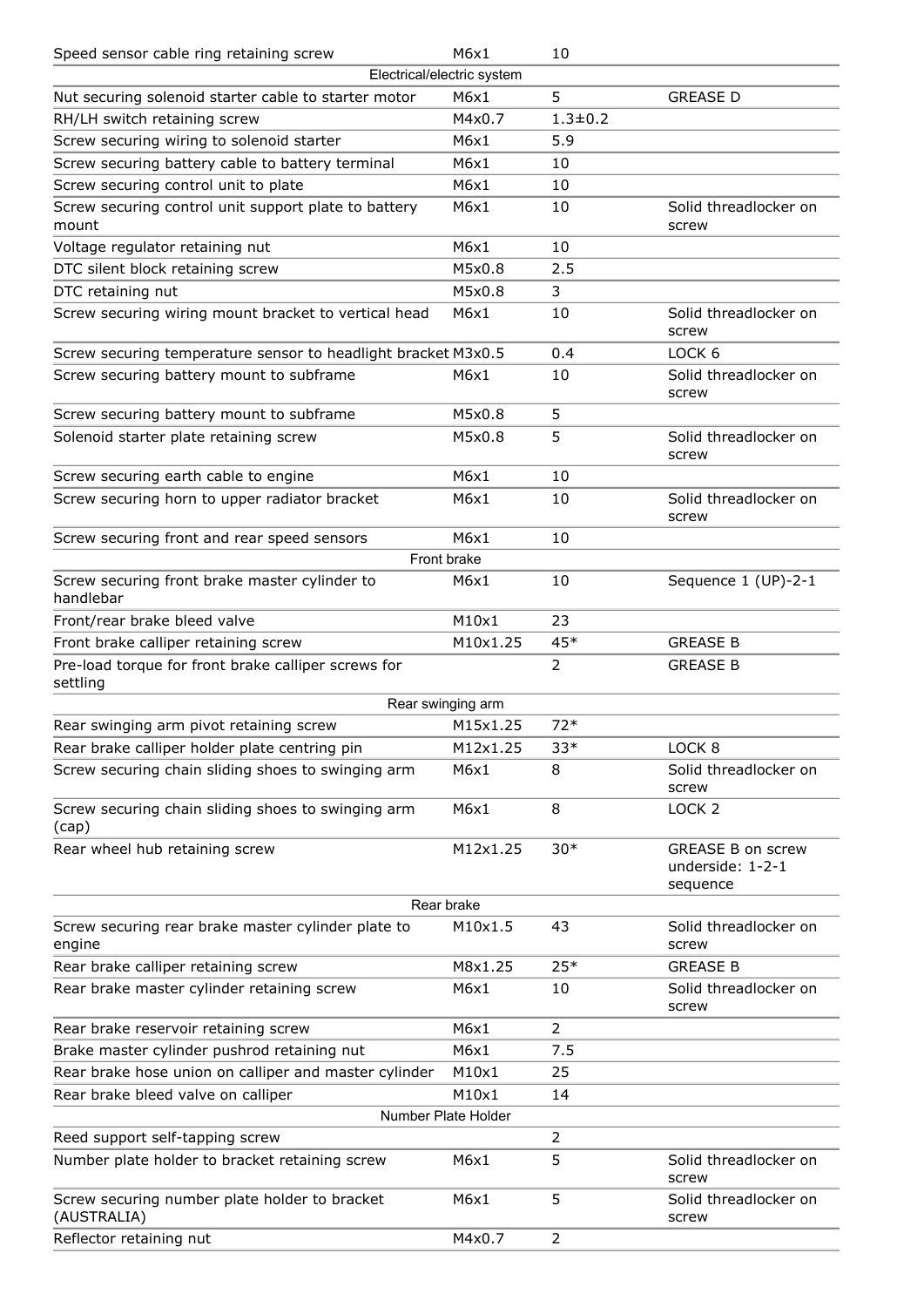| Speed sensor cable ring retaining screw                         | M6x1                       | 10             |                                                          |
|-----------------------------------------------------------------|----------------------------|----------------|----------------------------------------------------------|
|                                                                 | Electrical/electric system |                |                                                          |
| Nut securing solenoid starter cable to starter motor            | M6x1                       | 5              | <b>GREASE D</b>                                          |
| RH/LH switch retaining screw                                    | M4x0.7                     | $1.3 + 0.2$    |                                                          |
| Screw securing wiring to solenoid starter                       | M6x1                       | 5.9            |                                                          |
| Screw securing battery cable to battery terminal                | M6x1                       | 10             |                                                          |
| Screw securing control unit to plate                            | M6x1                       | 10             |                                                          |
| Screw securing control unit support plate to battery<br>mount   | M6x1                       | 10             | Solid threadlocker on<br>screw                           |
| Voltage regulator retaining nut                                 | M6x1                       | 10             |                                                          |
| DTC silent block retaining screw                                | M5x0.8                     | 2.5            |                                                          |
| DTC retaining nut                                               | M5x0.8                     | 3              |                                                          |
| Screw securing wiring mount bracket to vertical head            | M6x1                       | 10             | Solid threadlocker on<br>screw                           |
| Screw securing temperature sensor to headlight bracket M3x0.5   |                            | 0.4            | LOCK <sub>6</sub>                                        |
| Screw securing battery mount to subframe                        | M6x1                       | 10             | Solid threadlocker on<br>screw                           |
| Screw securing battery mount to subframe                        | M5x0.8                     | 5              |                                                          |
| Solenoid starter plate retaining screw                          | M5x0.8                     | 5              | Solid threadlocker on<br>screw                           |
| Screw securing earth cable to engine                            | M6x1                       | 10             |                                                          |
| Screw securing horn to upper radiator bracket                   | M6x1                       | 10             | Solid threadlocker on<br>screw                           |
| Screw securing front and rear speed sensors                     | M6x1                       | 10             |                                                          |
|                                                                 | Front brake                |                |                                                          |
| Screw securing front brake master cylinder to<br>handlebar      | M6x1                       | 10             | Sequence 1 (UP)-2-1                                      |
| Front/rear brake bleed valve                                    | M10x1                      | 23             |                                                          |
| Front brake calliper retaining screw                            | M10x1.25                   | $45*$          | <b>GREASE B</b>                                          |
| Pre-load torque for front brake calliper screws for<br>settling |                            | 2              | <b>GREASE B</b>                                          |
|                                                                 | Rear swinging arm          |                |                                                          |
| Rear swinging arm pivot retaining screw                         | M15x1.25                   | $72*$          |                                                          |
| Rear brake calliper holder plate centring pin                   | M12x1.25                   | $33*$          | LOCK <sub>8</sub>                                        |
| Screw securing chain sliding shoes to swinging arm              | M6x1                       | 8              | Solid threadlocker on<br>screw                           |
| Screw securing chain sliding shoes to swinging arm<br>(cap)     | M6x1                       | 8              | LOCK <sub>2</sub>                                        |
| Rear wheel hub retaining screw                                  | M12x1.25                   | $30*$          | <b>GREASE B on screw</b><br>underside: 1-2-1<br>sequence |
|                                                                 | Rear brake                 |                |                                                          |
| Screw securing rear brake master cylinder plate to<br>engine    | M10x1.5                    | 43             | Solid threadlocker on<br>screw                           |
| Rear brake calliper retaining screw                             | M8x1.25                    | $25*$          | <b>GREASE B</b>                                          |
| Rear brake master cylinder retaining screw                      | M6x1                       | 10             | Solid threadlocker on<br>screw                           |
| Rear brake reservoir retaining screw                            | M6x1                       | 2              |                                                          |
| Brake master cylinder pushrod retaining nut                     | M6x1                       | 7.5            |                                                          |
| Rear brake hose union on calliper and master cylinder           | M10x1                      | 25             |                                                          |
| Rear brake bleed valve on calliper                              | M10x1                      | 14             |                                                          |
|                                                                 | Number Plate Holder        |                |                                                          |
| Reed support self-tapping screw                                 |                            | 2              |                                                          |
| Number plate holder to bracket retaining screw                  | M6x1                       | 5              | Solid threadlocker on<br>screw                           |
| Screw securing number plate holder to bracket<br>(AUSTRALIA)    | M6x1                       | 5              | Solid threadlocker on<br>screw                           |
| Reflector retaining nut                                         | M4x0.7                     | $\overline{2}$ |                                                          |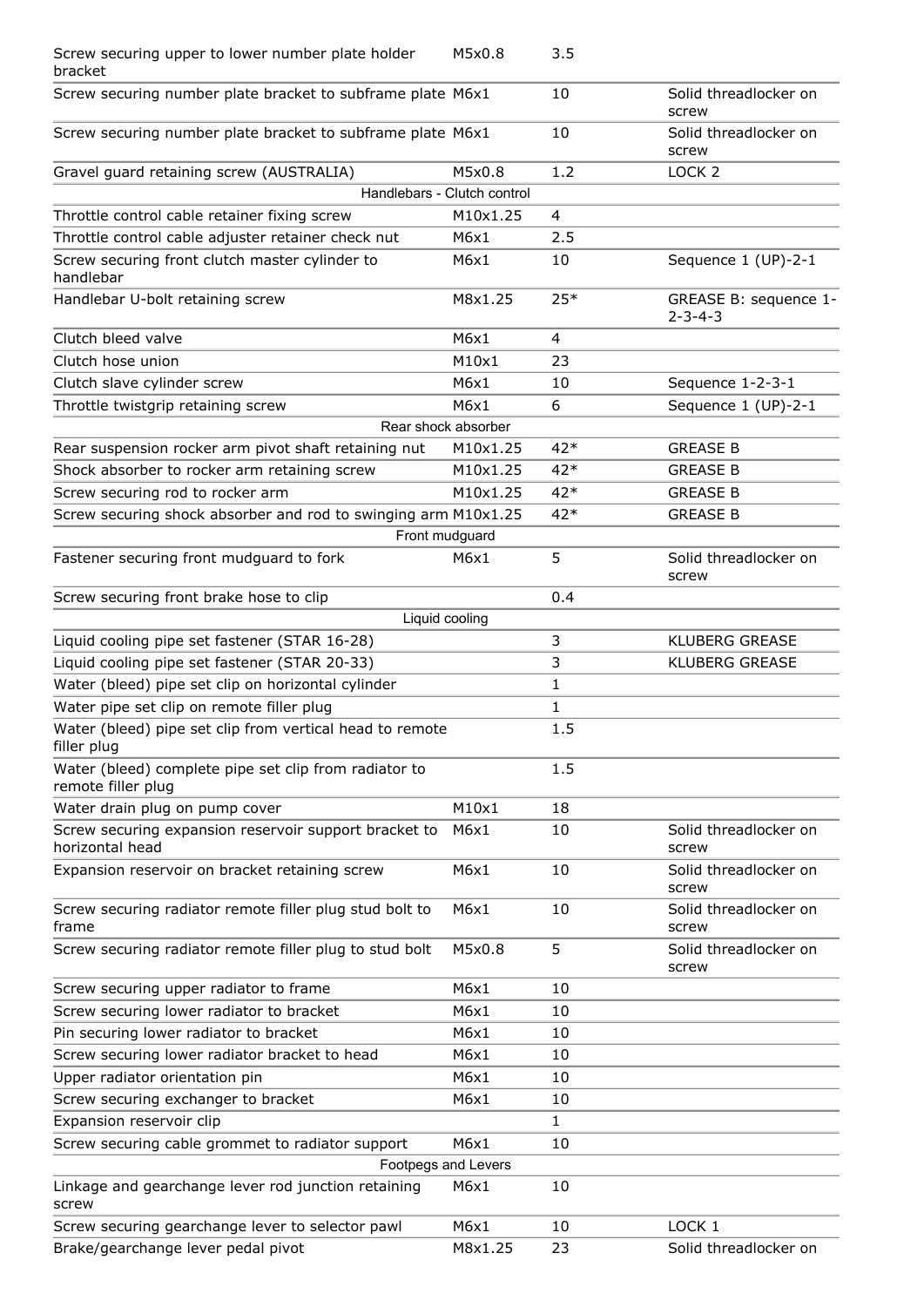| Screw securing upper to lower number plate holder<br>bracket                | M5x0.8   | 3.5            |                                          |
|-----------------------------------------------------------------------------|----------|----------------|------------------------------------------|
| Screw securing number plate bracket to subframe plate M6x1                  |          | 10             | Solid threadlocker on<br>screw           |
| Screw securing number plate bracket to subframe plate M6x1                  |          | 10             | Solid threadlocker on<br>screw           |
| Gravel guard retaining screw (AUSTRALIA)                                    | M5x0.8   | 1.2            | LOCK <sub>2</sub>                        |
| Handlebars - Clutch control                                                 |          |                |                                          |
| Throttle control cable retainer fixing screw                                | M10x1.25 | $\overline{4}$ |                                          |
| Throttle control cable adjuster retainer check nut                          | M6x1     | 2.5            |                                          |
| Screw securing front clutch master cylinder to<br>handlebar                 | M6x1     | 10             | Sequence 1 (UP)-2-1                      |
| Handlebar U-bolt retaining screw                                            | M8x1.25  | $25*$          | GREASE B: sequence 1-<br>$2 - 3 - 4 - 3$ |
| Clutch bleed valve                                                          | M6x1     | 4              |                                          |
| Clutch hose union                                                           | M10x1    | 23             |                                          |
| Clutch slave cylinder screw                                                 | M6x1     | 10             | Sequence 1-2-3-1                         |
| Throttle twistgrip retaining screw                                          | M6x1     | 6              | Sequence 1 (UP)-2-1                      |
| Rear shock absorber                                                         |          |                |                                          |
| Rear suspension rocker arm pivot shaft retaining nut                        | M10x1.25 | $42*$          | <b>GREASE B</b>                          |
| Shock absorber to rocker arm retaining screw                                | M10x1.25 | 42*            | <b>GREASE B</b>                          |
| Screw securing rod to rocker arm                                            | M10x1.25 | 42*            | <b>GREASE B</b>                          |
| Screw securing shock absorber and rod to swinging arm M10x1.25              |          | 42*            | <b>GREASE B</b>                          |
| Front mudguard                                                              |          |                |                                          |
| Fastener securing front mudguard to fork                                    | M6x1     | 5              | Solid threadlocker on<br>screw           |
| Screw securing front brake hose to clip                                     |          | 0.4            |                                          |
| Liquid cooling                                                              |          |                |                                          |
| Liquid cooling pipe set fastener (STAR 16-28)                               |          | 3              | <b>KLUBERG GREASE</b>                    |
| Liquid cooling pipe set fastener (STAR 20-33)                               |          | 3              | <b>KLUBERG GREASE</b>                    |
| Water (bleed) pipe set clip on horizontal cylinder                          |          | 1              |                                          |
| Water pipe set clip on remote filler plug                                   |          | 1              |                                          |
| Water (bleed) pipe set clip from vertical head to remote<br>filler plug     |          | 1.5            |                                          |
| Water (bleed) complete pipe set clip from radiator to<br>remote filler plug |          | 1.5            |                                          |
| Water drain plug on pump cover                                              | M10x1    | 18             |                                          |
| Screw securing expansion reservoir support bracket to<br>horizontal head    | M6x1     | 10             | Solid threadlocker on<br>screw           |
| Expansion reservoir on bracket retaining screw                              | M6x1     | 10             | Solid threadlocker on<br>screw           |
| Screw securing radiator remote filler plug stud bolt to<br>frame            | M6x1     | 10             | Solid threadlocker on<br>screw           |
| Screw securing radiator remote filler plug to stud bolt                     | M5x0.8   | 5              | Solid threadlocker on<br>screw           |
| Screw securing upper radiator to frame                                      | M6x1     | 10             |                                          |
| Screw securing lower radiator to bracket                                    | M6x1     | 10             |                                          |
| Pin securing lower radiator to bracket                                      | M6x1     | 10             |                                          |
| Screw securing lower radiator bracket to head                               | M6x1     | 10             |                                          |
| Upper radiator orientation pin                                              | M6x1     | 10             |                                          |
| Screw securing exchanger to bracket                                         | M6x1     | 10             |                                          |
| Expansion reservoir clip                                                    |          | 1              |                                          |
| Screw securing cable grommet to radiator support                            | M6x1     | 10             |                                          |
| Footpegs and Levers                                                         |          |                |                                          |
| Linkage and gearchange lever rod junction retaining<br>screw                | M6x1     | 10             |                                          |
| Screw securing gearchange lever to selector pawl                            | M6x1     | 10             | LOCK <sub>1</sub>                        |
| Brake/gearchange lever pedal pivot                                          | M8x1.25  | 23             | Solid threadlocker on                    |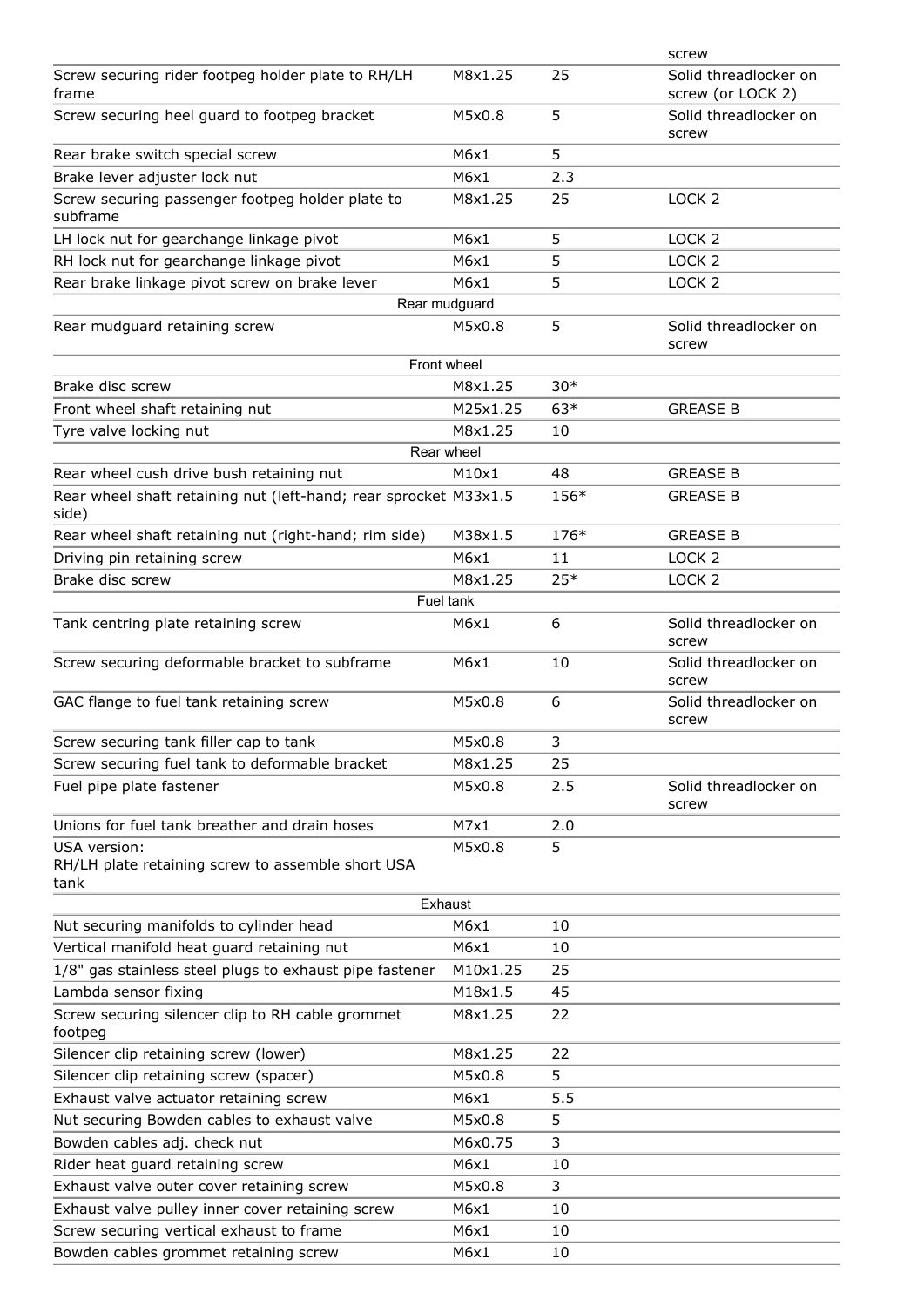|                                                                           |               |       | screw                                      |
|---------------------------------------------------------------------------|---------------|-------|--------------------------------------------|
| Screw securing rider footpeg holder plate to RH/LH<br>frame               | M8x1.25       | 25    | Solid threadlocker on<br>screw (or LOCK 2) |
| Screw securing heel guard to footpeg bracket                              | M5x0.8        | 5     | Solid threadlocker on<br>screw             |
| Rear brake switch special screw                                           | M6x1          | 5     |                                            |
| Brake lever adjuster lock nut                                             | M6x1          | 2.3   |                                            |
| Screw securing passenger footpeg holder plate to<br>subframe              | M8x1.25       | 25    | LOCK <sub>2</sub>                          |
| LH lock nut for gearchange linkage pivot                                  | M6x1          | 5     | LOCK <sub>2</sub>                          |
| RH lock nut for gearchange linkage pivot                                  | M6x1          | 5     | LOCK <sub>2</sub>                          |
| Rear brake linkage pivot screw on brake lever                             | M6x1          | 5     | LOCK <sub>2</sub>                          |
|                                                                           | Rear mudguard |       |                                            |
| Rear mudguard retaining screw                                             | M5x0.8        | 5     | Solid threadlocker on<br>screw             |
|                                                                           | Front wheel   |       |                                            |
| Brake disc screw                                                          | M8x1.25       | $30*$ |                                            |
| Front wheel shaft retaining nut                                           | M25x1.25      | $63*$ | <b>GREASE B</b>                            |
| Tyre valve locking nut                                                    | M8x1.25       | 10    |                                            |
|                                                                           | Rear wheel    |       |                                            |
| Rear wheel cush drive bush retaining nut                                  | M10x1         | 48    | <b>GREASE B</b>                            |
| Rear wheel shaft retaining nut (left-hand; rear sprocket M33x1.5<br>side) |               | 156*  | <b>GREASE B</b>                            |
| Rear wheel shaft retaining nut (right-hand; rim side)                     | M38x1.5       | 176*  | <b>GREASE B</b>                            |
| Driving pin retaining screw                                               | M6x1          | 11    | LOCK <sub>2</sub>                          |
| Brake disc screw                                                          | M8x1.25       | $25*$ | LOCK <sub>2</sub>                          |
|                                                                           | Fuel tank     |       |                                            |
| Tank centring plate retaining screw                                       | M6x1          | 6     | Solid threadlocker on<br>screw             |
| Screw securing deformable bracket to subframe                             | M6x1          | 10    | Solid threadlocker on<br>screw             |
| GAC flange to fuel tank retaining screw                                   | M5x0.8        | 6     | Solid threadlocker on<br>screw             |
| Screw securing tank filler cap to tank                                    | M5x0.8        | 3     |                                            |
| Screw securing fuel tank to deformable bracket                            | M8x1.25       | 25    |                                            |
| Fuel pipe plate fastener                                                  | M5x0.8        | 2.5   | Solid threadlocker on<br>screw             |
| Unions for fuel tank breather and drain hoses                             | M7x1          | 2.0   |                                            |
| USA version:<br>RH/LH plate retaining screw to assemble short USA<br>tank | M5x0.8        | 5     |                                            |
|                                                                           | Exhaust       |       |                                            |
| Nut securing manifolds to cylinder head                                   | M6x1          | 10    |                                            |
| Vertical manifold heat guard retaining nut                                | M6x1          | 10    |                                            |
| 1/8" gas stainless steel plugs to exhaust pipe fastener                   | M10x1.25      | 25    |                                            |
| Lambda sensor fixing                                                      | M18x1.5       | 45    |                                            |
| Screw securing silencer clip to RH cable grommet<br>footpeg               | M8x1.25       | 22    |                                            |
| Silencer clip retaining screw (lower)                                     | M8x1.25       | 22    |                                            |
| Silencer clip retaining screw (spacer)                                    | M5x0.8        | 5     |                                            |
| Exhaust valve actuator retaining screw                                    | M6x1          | 5.5   |                                            |
| Nut securing Bowden cables to exhaust valve                               | M5x0.8        | 5     |                                            |
| Bowden cables adj. check nut                                              | M6x0.75       | 3     |                                            |
| Rider heat guard retaining screw                                          | M6x1          | 10    |                                            |
| Exhaust valve outer cover retaining screw                                 | M5x0.8        | 3     |                                            |
| Exhaust valve pulley inner cover retaining screw                          | M6x1          | 10    |                                            |
| Screw securing vertical exhaust to frame                                  | M6x1          | 10    |                                            |
| Bowden cables grommet retaining screw                                     | M6x1          | 10    |                                            |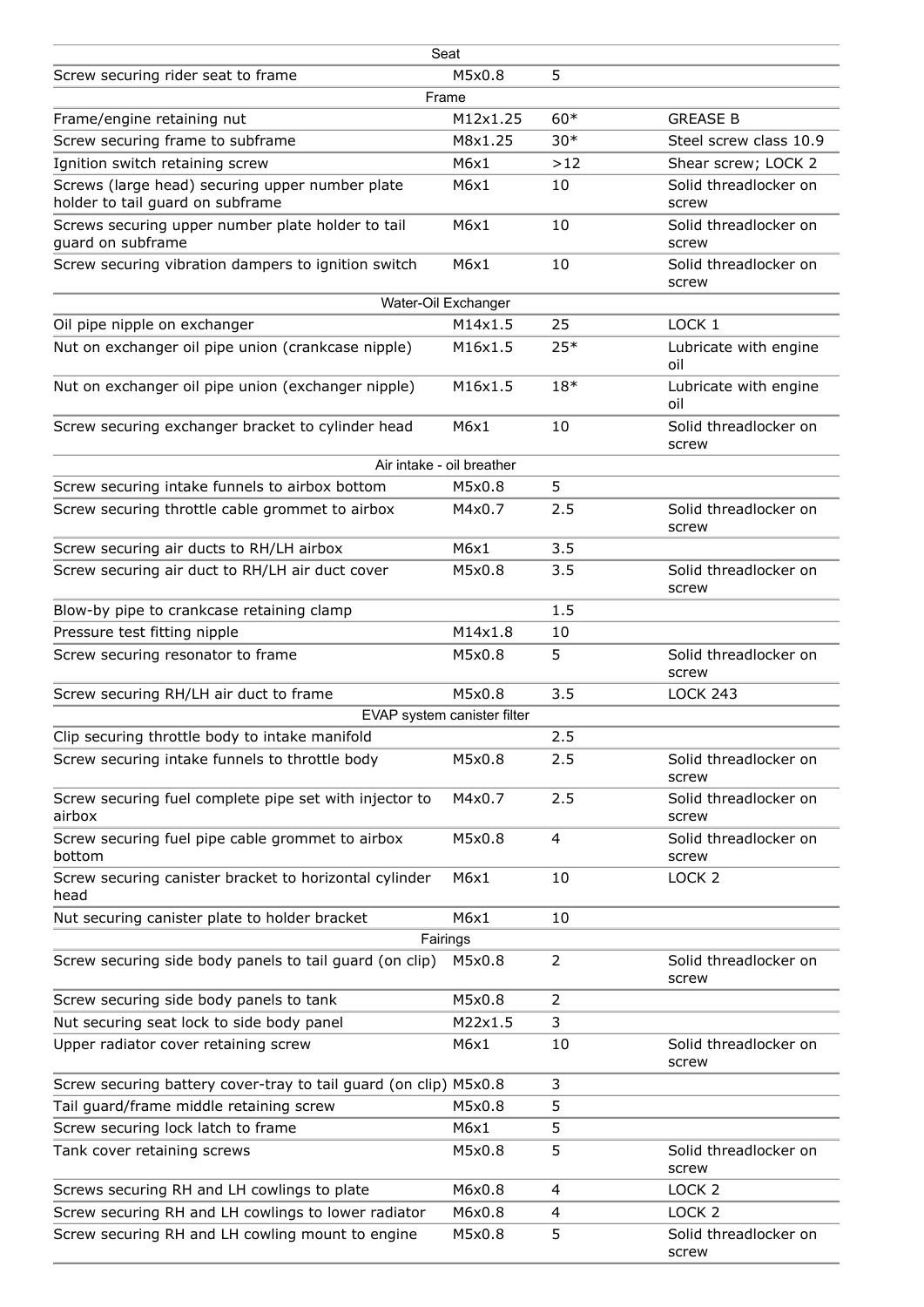|                                                                                     | Seat                        |                         |                                |
|-------------------------------------------------------------------------------------|-----------------------------|-------------------------|--------------------------------|
| Screw securing rider seat to frame                                                  | M5x0.8                      | 5                       |                                |
|                                                                                     | Frame                       |                         |                                |
| Frame/engine retaining nut                                                          | M12x1.25                    | $60*$                   | <b>GREASE B</b>                |
| Screw securing frame to subframe                                                    | M8x1.25                     | $30*$                   | Steel screw class 10.9         |
| Ignition switch retaining screw                                                     | M6x1                        | >12                     | Shear screw; LOCK 2            |
| Screws (large head) securing upper number plate<br>holder to tail guard on subframe | M6x1                        | 10                      | Solid threadlocker on<br>screw |
| Screws securing upper number plate holder to tail<br>guard on subframe              | M6x1                        | 10                      | Solid threadlocker on<br>screw |
| Screw securing vibration dampers to ignition switch                                 | M6x1                        | 10                      | Solid threadlocker on<br>screw |
|                                                                                     | Water-Oil Exchanger         |                         |                                |
| Oil pipe nipple on exchanger                                                        | M14x1.5                     | 25                      | LOCK <sub>1</sub>              |
| Nut on exchanger oil pipe union (crankcase nipple)                                  | M16x1.5                     | $25*$                   | Lubricate with engine<br>oil   |
| Nut on exchanger oil pipe union (exchanger nipple)                                  | M16x1.5                     | $18*$                   | Lubricate with engine<br>oil   |
| Screw securing exchanger bracket to cylinder head                                   | M6x1                        | 10                      | Solid threadlocker on<br>screw |
|                                                                                     | Air intake - oil breather   |                         |                                |
| Screw securing intake funnels to airbox bottom                                      | M5x0.8                      | 5                       |                                |
| Screw securing throttle cable grommet to airbox                                     | M4x0.7                      | 2.5                     | Solid threadlocker on<br>screw |
| Screw securing air ducts to RH/LH airbox                                            | M6x1                        | 3.5                     |                                |
| Screw securing air duct to RH/LH air duct cover                                     | M5x0.8                      | 3.5                     | Solid threadlocker on<br>screw |
| Blow-by pipe to crankcase retaining clamp                                           |                             | 1.5                     |                                |
| Pressure test fitting nipple                                                        | M14x1.8                     | 10                      |                                |
| Screw securing resonator to frame                                                   | M5x0.8                      | 5                       | Solid threadlocker on<br>screw |
| Screw securing RH/LH air duct to frame                                              | M5x0.8                      | 3.5                     | <b>LOCK 243</b>                |
|                                                                                     | EVAP system canister filter |                         |                                |
| Clip securing throttle body to intake manifold                                      |                             | 2.5                     |                                |
| Screw securing intake funnels to throttle body                                      | M5x0.8                      | 2.5                     | Solid threadlocker on<br>screw |
| Screw securing fuel complete pipe set with injector to<br>airbox                    | M4x0.7                      | 2.5                     | Solid threadlocker on<br>screw |
| Screw securing fuel pipe cable grommet to airbox<br>bottom                          | M5x0.8                      | 4                       | Solid threadlocker on<br>screw |
| Screw securing canister bracket to horizontal cylinder<br>head                      | M6x1                        | 10                      | LOCK <sub>2</sub>              |
| Nut securing canister plate to holder bracket                                       | M6x1                        | 10                      |                                |
|                                                                                     | Fairings                    |                         |                                |
| Screw securing side body panels to tail guard (on clip)                             | M5x0.8                      | 2                       | Solid threadlocker on<br>screw |
| Screw securing side body panels to tank                                             | M5x0.8                      | 2                       |                                |
| Nut securing seat lock to side body panel                                           | M22x1.5                     | 3                       |                                |
| Upper radiator cover retaining screw                                                | M6x1                        | 10                      | Solid threadlocker on<br>screw |
| Screw securing battery cover-tray to tail guard (on clip) M5x0.8                    |                             | 3                       |                                |
| Tail guard/frame middle retaining screw                                             | M5x0.8                      | 5                       |                                |
| Screw securing lock latch to frame                                                  | M6x1                        | 5                       |                                |
| Tank cover retaining screws                                                         | M5x0.8                      | 5                       | Solid threadlocker on<br>screw |
| Screws securing RH and LH cowlings to plate                                         | M6x0.8                      | 4                       | LOCK <sub>2</sub>              |
| Screw securing RH and LH cowlings to lower radiator                                 | M6x0.8                      | $\overline{\mathbf{4}}$ | LOCK <sub>2</sub>              |
| Screw securing RH and LH cowling mount to engine                                    | M5x0.8                      | 5                       | Solid threadlocker on<br>screw |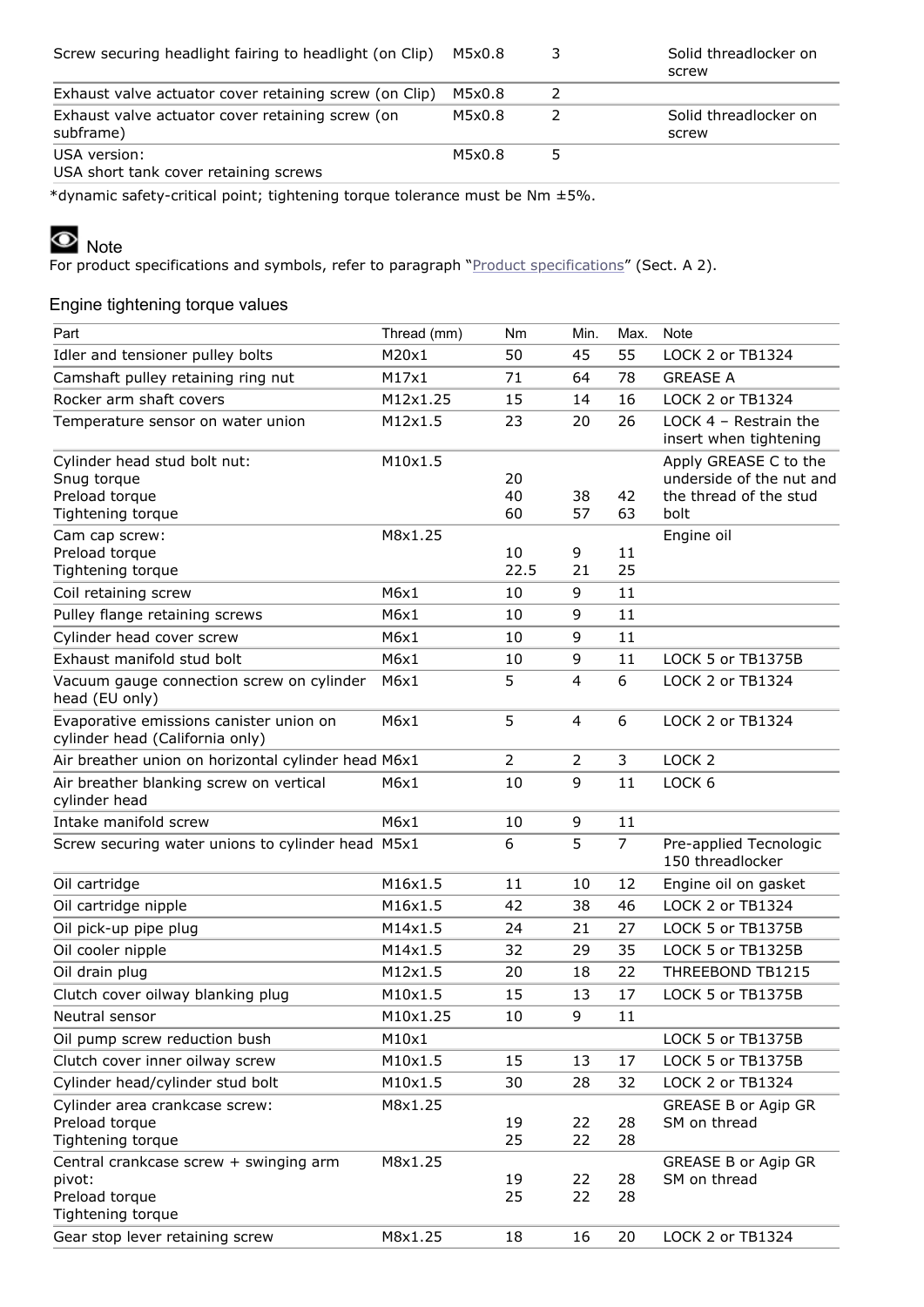| Screw securing headlight fairing to headlight (on Clip)       | M5x0.8 | Solid threadlocker on<br>screw |
|---------------------------------------------------------------|--------|--------------------------------|
| Exhaust valve actuator cover retaining screw (on Clip)        | M5x0.8 |                                |
| Exhaust valve actuator cover retaining screw (on<br>subframe) | M5x0.8 | Solid threadlocker on<br>screw |
| USA version:<br>USA short tank cover retaining screws         | M5x0.8 |                                |

\*dynamic safety-critical point; tightening torque tolerance must be Nm ±5%.

## Note

For product specifications and symbols, refer to paragraph "*Product specifications*" (Sect. A 2).

## Engine tightening torque values

| Part                                                                       | Thread (mm) | Nm             | Min.           | Max.           | <b>Note</b>                                       |
|----------------------------------------------------------------------------|-------------|----------------|----------------|----------------|---------------------------------------------------|
| Idler and tensioner pulley bolts                                           | M20x1       | 50             | 45             | 55             | LOCK 2 or TB1324                                  |
| Camshaft pulley retaining ring nut                                         | M17x1       | 71             | 64             | 78             | <b>GREASE A</b>                                   |
| Rocker arm shaft covers                                                    | M12x1.25    | 15             | 14             | 16             | LOCK 2 or TB1324                                  |
| Temperature sensor on water union                                          | M12x1.5     | 23             | 20             | 26             | LOCK $4$ - Restrain the<br>insert when tightening |
| Cylinder head stud bolt nut:                                               | M10x1.5     |                |                |                | Apply GREASE C to the                             |
| Snug torque                                                                |             | 20             |                |                | underside of the nut and                          |
| Preload torque<br>Tightening torque                                        |             | 40<br>60       | 38<br>57       | 42<br>63       | the thread of the stud<br>bolt                    |
| Cam cap screw:                                                             | M8x1.25     |                |                |                | Engine oil                                        |
| Preload torque                                                             |             | 10             | 9              | 11             |                                                   |
| Tightening torque                                                          |             | 22.5           | 21             | 25             |                                                   |
| Coil retaining screw                                                       | M6x1        | 10             | 9              | 11             |                                                   |
| Pulley flange retaining screws                                             | M6x1        | 10             | 9              | 11             |                                                   |
| Cylinder head cover screw                                                  | M6x1        | 10             | 9              | 11             |                                                   |
| Exhaust manifold stud bolt                                                 | M6x1        | 10             | 9              | 11             | LOCK 5 or TB1375B                                 |
| Vacuum gauge connection screw on cylinder<br>head (EU only)                | M6x1        | 5              | 4              | 6              | LOCK 2 or TB1324                                  |
| Evaporative emissions canister union on<br>cylinder head (California only) | M6x1        | 5              | $\overline{4}$ | 6              | LOCK 2 or TB1324                                  |
| Air breather union on horizontal cylinder head M6x1                        |             | $\overline{2}$ | $\overline{2}$ | 3              | LOCK <sub>2</sub>                                 |
| Air breather blanking screw on vertical<br>cylinder head                   | M6x1        | 10             | 9              | 11             | LOCK <sub>6</sub>                                 |
| Intake manifold screw                                                      | M6x1        | 10             | 9              | 11             |                                                   |
| Screw securing water unions to cylinder head M5x1                          |             | 6              | 5              | $\overline{7}$ | Pre-applied Tecnologic<br>150 threadlocker        |
| Oil cartridge                                                              | M16x1.5     | 11             | 10             | 12             | Engine oil on gasket                              |
| Oil cartridge nipple                                                       | M16x1.5     | 42             | 38             | 46             | LOCK 2 or TB1324                                  |
| Oil pick-up pipe plug                                                      | M14x1.5     | 24             | 21             | 27             | LOCK 5 or TB1375B                                 |
| Oil cooler nipple                                                          | M14x1.5     | 32             | 29             | 35             | LOCK 5 or TB1325B                                 |
| Oil drain plug                                                             | M12x1.5     | 20             | 18             | 22             | THREEBOND TB1215                                  |
| Clutch cover oilway blanking plug                                          | M10x1.5     | 15             | 13             | 17             | LOCK 5 or TB1375B                                 |
| Neutral sensor                                                             | M10x1.25    | 10             | 9              | 11             |                                                   |
| Oil pump screw reduction bush                                              | M10x1       |                |                |                | LOCK 5 or TB1375B                                 |
| Clutch cover inner oilway screw                                            | M10x1.5     | 15             | 13             | 17             | LOCK 5 or TB1375B                                 |
| Cylinder head/cylinder stud bolt                                           | M10x1.5     | 30             | 28             | 32             | LOCK 2 or TB1324                                  |
| Cylinder area crankcase screw:                                             | M8x1.25     |                |                |                | <b>GREASE B or Agip GR</b>                        |
| Preload torque                                                             |             | 19             | 22             | 28             | SM on thread                                      |
| Tightening torque                                                          |             | 25             | 22             | 28             |                                                   |
| Central crankcase screw + swinging arm<br>pivot:                           | M8x1.25     | 19             | 22             | 28             | <b>GREASE B or Agip GR</b><br>SM on thread        |
| Preload torque                                                             |             | 25             | 22             | 28             |                                                   |
| Tightening torque                                                          |             |                |                |                |                                                   |
| Gear stop lever retaining screw                                            | M8x1.25     | 18             | 16             | 20             | LOCK 2 or TB1324                                  |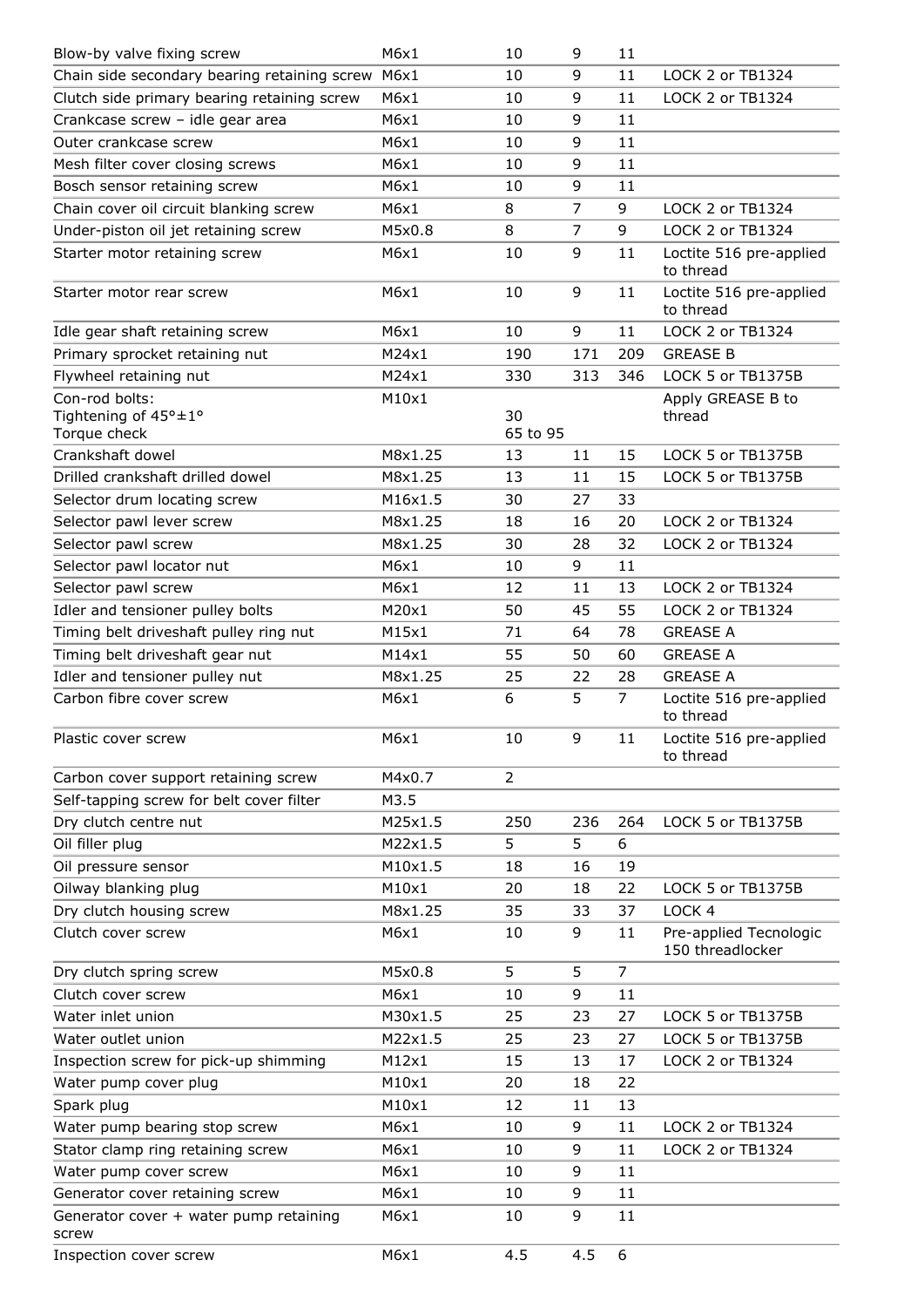| Blow-by valve fixing screw                             | M6x1    | 10             | 9              | 11             |                                            |
|--------------------------------------------------------|---------|----------------|----------------|----------------|--------------------------------------------|
| Chain side secondary bearing retaining screw M6x1      |         | 10             | 9              | 11             | LOCK 2 or TB1324                           |
| Clutch side primary bearing retaining screw            | M6x1    | 10             | 9              | 11             | LOCK 2 or TB1324                           |
| Crankcase screw - idle gear area                       | M6x1    | 10             | 9              | 11             |                                            |
| Outer crankcase screw                                  | M6x1    | 10             | 9              | 11             |                                            |
| Mesh filter cover closing screws                       | M6x1    | 10             | 9              | 11             |                                            |
| Bosch sensor retaining screw                           | M6x1    | 10             | 9              | 11             |                                            |
| Chain cover oil circuit blanking screw                 | M6x1    | 8              | 7              | 9              | LOCK 2 or TB1324                           |
| Under-piston oil jet retaining screw                   | M5x0.8  | 8              | $\overline{7}$ | 9              | LOCK 2 or TB1324                           |
| Starter motor retaining screw                          | M6x1    | 10             | 9              | 11             | Loctite 516 pre-applied<br>to thread       |
| Starter motor rear screw                               | M6x1    | 10             | 9              | 11             | Loctite 516 pre-applied<br>to thread       |
| Idle gear shaft retaining screw                        | M6x1    | 10             | 9              | 11             | LOCK 2 or TB1324                           |
| Primary sprocket retaining nut                         | M24x1   | 190            | 171            | 209            | <b>GREASE B</b>                            |
| Flywheel retaining nut                                 | M24x1   | 330            | 313            | 346            | LOCK 5 or TB1375B                          |
| Con-rod bolts:<br>Tightening of 45°±1°<br>Torque check | M10x1   | 30<br>65 to 95 |                |                | Apply GREASE B to<br>thread                |
| Crankshaft dowel                                       | M8x1.25 | 13             | 11             | 15             | LOCK 5 or TB1375B                          |
| Drilled crankshaft drilled dowel                       | M8x1.25 | 13             | 11             | 15             | LOCK 5 or TB1375B                          |
| Selector drum locating screw                           | M16x1.5 | 30             | 27             | 33             |                                            |
| Selector pawl lever screw                              | M8x1.25 | 18             | 16             | 20             | LOCK 2 or TB1324                           |
| Selector pawl screw                                    | M8x1.25 | 30             | 28             | 32             | LOCK 2 or TB1324                           |
| Selector pawl locator nut                              | M6x1    | 10             | 9              | 11             |                                            |
| Selector pawl screw                                    | M6x1    | 12             | 11             | 13             | LOCK 2 or TB1324                           |
| Idler and tensioner pulley bolts                       | M20x1   | 50             | 45             | 55             | LOCK 2 or TB1324                           |
| Timing belt driveshaft pulley ring nut                 | M15x1   | 71             | 64             | 78             | <b>GREASE A</b>                            |
| Timing belt driveshaft gear nut                        | M14x1   | 55             | 50             | 60             | <b>GREASE A</b>                            |
| Idler and tensioner pulley nut                         | M8x1.25 | 25             | 22             | 28             | <b>GREASE A</b>                            |
| Carbon fibre cover screw                               | M6x1    | 6              | 5              | 7              | Loctite 516 pre-applied<br>to thread       |
| Plastic cover screw                                    | M6x1    | 10             | 9              | 11             | Loctite 516 pre-applied<br>to thread       |
| Carbon cover support retaining screw                   | M4x0.7  | $\overline{2}$ |                |                |                                            |
| Self-tapping screw for belt cover filter               | M3.5    |                |                |                |                                            |
| Dry clutch centre nut                                  | M25x1.5 | 250            | 236            | 264            | LOCK 5 or TB1375B                          |
| Oil filler plug                                        | M22x1.5 | 5              | 5              | 6              |                                            |
| Oil pressure sensor                                    | M10x1.5 | 18             | 16             | 19             |                                            |
| Oilway blanking plug                                   | M10x1   | 20             | 18             | 22             | LOCK 5 or TB1375B                          |
| Dry clutch housing screw                               | M8x1.25 | 35             | 33             | 37             | LOCK 4                                     |
| Clutch cover screw                                     | M6x1    | 10             | 9              | 11             | Pre-applied Tecnologic<br>150 threadlocker |
| Dry clutch spring screw                                | M5x0.8  | 5              | 5              | $\overline{7}$ |                                            |
| Clutch cover screw                                     | M6x1    | 10             | 9              | 11             |                                            |
| Water inlet union                                      | M30x1.5 | 25             | 23             | 27             | LOCK 5 or TB1375B                          |
| Water outlet union                                     | M22x1.5 | 25             | 23             | 27             | LOCK 5 or TB1375B                          |
| Inspection screw for pick-up shimming                  | M12x1   | 15             | 13             | 17             | LOCK 2 or TB1324                           |
| Water pump cover plug                                  | M10x1   | 20             | 18             | 22             |                                            |
| Spark plug                                             | M10x1   | 12             | 11             | 13             |                                            |
| Water pump bearing stop screw                          | M6x1    | 10             | 9              | 11             | LOCK 2 or TB1324                           |
| Stator clamp ring retaining screw                      | M6x1    | 10             | 9              | 11             | LOCK 2 or TB1324                           |
| Water pump cover screw                                 | M6x1    | 10             | 9              | 11             |                                            |
| Generator cover retaining screw                        | M6x1    | 10             | 9              | 11             |                                            |
| Generator cover + water pump retaining<br>screw        | M6x1    | 10             | 9              | 11             |                                            |
| Inspection cover screw                                 | M6x1    | 4.5            | 4.5            | 6              |                                            |